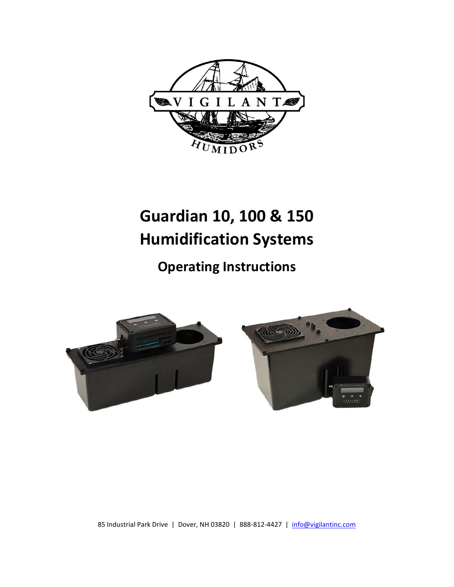

# **Guardian 10, 100 & 150 Humidification Systems**

**Operating Instructions**



85 Industrial Park Drive | Dover, NH 03820 | 888-812-4427 | [info@vigilantinc.com](mailto:info@vigilantinc.com)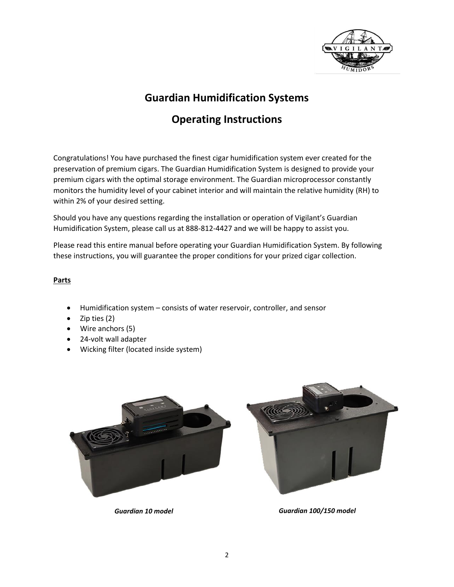

# **Guardian Humidification Systems**

# **Operating Instructions**

Congratulations! You have purchased the finest cigar humidification system ever created for the preservation of premium cigars. The Guardian Humidification System is designed to provide your premium cigars with the optimal storage environment. The Guardian microprocessor constantly monitors the humidity level of your cabinet interior and will maintain the relative humidity (RH) to within 2% of your desired setting.

Should you have any questions regarding the installation or operation of Vigilant's Guardian Humidification System, please call us at 888-812-4427 and we will be happy to assist you.

Please read this entire manual before operating your Guardian Humidification System. By following these instructions, you will guarantee the proper conditions for your prized cigar collection.

#### **Parts**

- Humidification system consists of water reservoir, controller, and sensor
- Zip ties (2)
- Wire anchors (5)
- 24-volt wall adapter
- Wicking filter (located inside system)



*Guardian 10 model Guardian 100/150 model*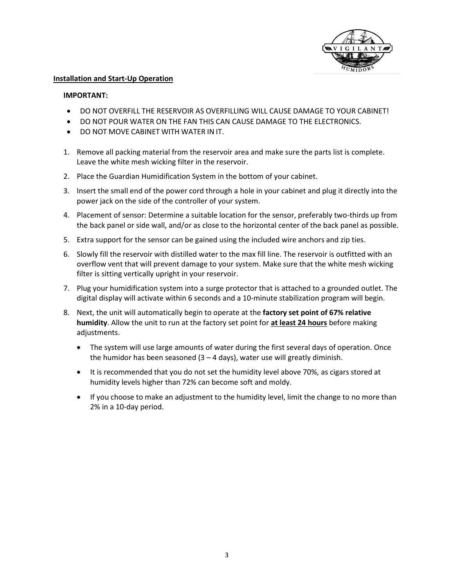

#### **Installation and Start-Up Operation**

#### **IMPORTANT:**

- DO NOT OVERFILL THE RESERVOIR AS OVERFILLING WILL CAUSE DAMAGE TO YOUR CABINET!
- DO NOT POUR WATER ON THE FAN THIS CAN CAUSE DAMAGE TO THE ELECTRONICS.
- DO NOT MOVE CABINET WITH WATER IN IT.
- 1. Remove all packing material from the reservoir area and make sure the parts list is complete. Leave the white mesh wicking filter in the reservoir.
- 2. Place the Guardian Humidification System in the bottom of your cabinet.
- 3. Insert the small end of the power cord through a hole in your cabinet and plug it directly into the power jack on the side of the controller of your system.
- 4. Placement of sensor: Determine a suitable location for the sensor, preferably two-thirds up from the back panel or side wall, and/or as close to the horizontal center of the back panel as possible.
- 5. Extra support for the sensor can be gained using the included wire anchors and zip ties.
- 6. Slowly fill the reservoir with distilled water to the max fill line. The reservoir is outfitted with an overflow vent that will prevent damage to your system. Make sure that the white mesh wicking filter is sitting vertically upright in your reservoir.
- 7. Plug your humidification system into a surge protector that is attached to a grounded outlet. The digital display will activate within 6 seconds and a 10-minute stabilization program will begin.
- 8. Next, the unit will automatically begin to operate at the **factory set point of 67% relative humidity**. Allow the unit to run at the factory set point for **at least 24 hours** before making adjustments.
	- The system will use large amounts of water during the first several days of operation. Once the humidor has been seasoned  $(3 - 4 \text{ days})$ , water use will greatly diminish.
	- It is recommended that you do not set the humidity level above 70%, as cigars stored at humidity levels higher than 72% can become soft and moldy.
	- If you choose to make an adjustment to the humidity level, limit the change to no more than 2% in a 10-day period.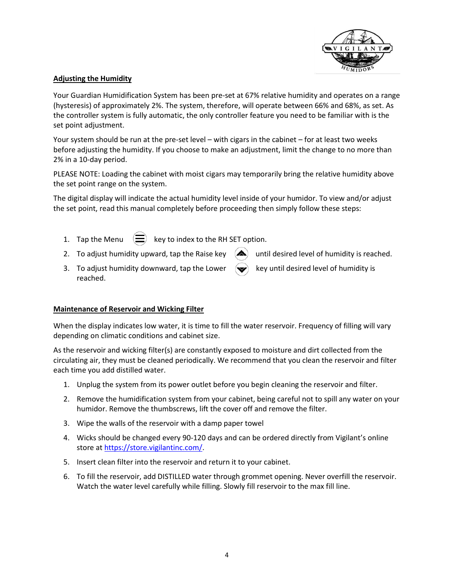

#### **Adjusting the Humidity**

Your Guardian Humidification System has been pre-set at 67% relative humidity and operates on a range (hysteresis) of approximately 2%. The system, therefore, will operate between 66% and 68%, as set. As the controller system is fully automatic, the only controller feature you need to be familiar with is the set point adjustment.

Your system should be run at the pre-set level – with cigars in the cabinet – for at least two weeks before adjusting the humidity. If you choose to make an adjustment, limit the change to no more than 2% in a 10-day period.

PLEASE NOTE: Loading the cabinet with moist cigars may temporarily bring the relative humidity above the set point range on the system.

The digital display will indicate the actual humidity level inside of your humidor. To view and/or adjust the set point, read this manual completely before proceeding then simply follow these steps:

- 
- 1. Tap the Menu  $\left(\equiv\right)$  key to index to the RH SET option.
- 2. To adjust humidity upward, tap the Raise key  $\Box$  until desired level of humidity is reached.
- 3. To adjust humidity downward, tap the Lower  $\left\langle \bigotimes \right\rangle$  key until desired level of humidity is reached.

#### **Maintenance of Reservoir and Wicking Filter**

When the display indicates low water, it is time to fill the water reservoir. Frequency of filling will vary depending on climatic conditions and cabinet size.

As the reservoir and wicking filter(s) are constantly exposed to moisture and dirt collected from the circulating air, they must be cleaned periodically. We recommend that you clean the reservoir and filter each time you add distilled water.

- 1. Unplug the system from its power outlet before you begin cleaning the reservoir and filter.
- 2. Remove the humidification system from your cabinet, being careful not to spill any water on your humidor. Remove the thumbscrews, lift the cover off and remove the filter.
- 3. Wipe the walls of the reservoir with a damp paper towel
- 4. Wicks should be changed every 90-120 days and can be ordered directly from Vigilant's online store a[t https://store.vigilantinc.com/.](https://store.vigilantinc.com/)
- 5. Insert clean filter into the reservoir and return it to your cabinet.
- 6. To fill the reservoir, add DISTILLED water through grommet opening. Never overfill the reservoir. Watch the water level carefully while filling. Slowly fill reservoir to the max fill line.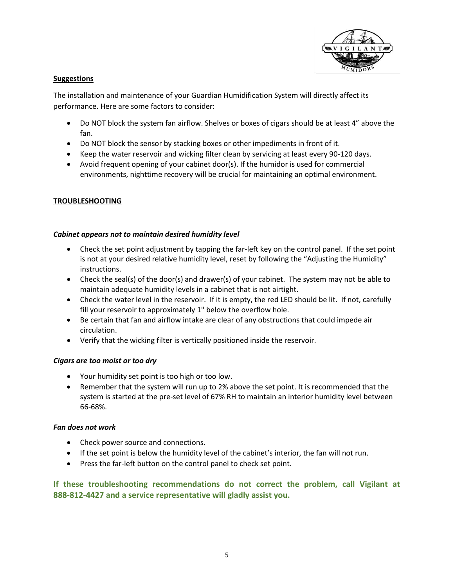

#### **Suggestions**

The installation and maintenance of your Guardian Humidification System will directly affect its performance. Here are some factors to consider:

- Do NOT block the system fan airflow. Shelves or boxes of cigars should be at least 4" above the fan.
- Do NOT block the sensor by stacking boxes or other impediments in front of it.
- Keep the water reservoir and wicking filter clean by servicing at least every 90-120 days.
- Avoid frequent opening of your cabinet door(s). If the humidor is used for commercial environments, nighttime recovery will be crucial for maintaining an optimal environment.

## **TROUBLESHOOTING**

#### *Cabinet appears not to maintain desired humidity level*

- Check the set point adjustment by tapping the far-left key on the control panel. If the set point is not at your desired relative humidity level, reset by following the "Adjusting the Humidity" instructions.
- Check the seal(s) of the door(s) and drawer(s) of your cabinet. The system may not be able to maintain adequate humidity levels in a cabinet that is not airtight.
- Check the water level in the reservoir. If it is empty, the red LED should be lit. If not, carefully fill your reservoir to approximately 1" below the overflow hole.
- Be certain that fan and airflow intake are clear of any obstructions that could impede air circulation.
- Verify that the wicking filter is vertically positioned inside the reservoir.

#### *Cigars are too moist or too dry*

- Your humidity set point is too high or too low.
- Remember that the system will run up to 2% above the set point. It is recommended that the system is started at the pre-set level of 67% RH to maintain an interior humidity level between 66-68%.

#### *Fan does not work*

- Check power source and connections.
- If the set point is below the humidity level of the cabinet's interior, the fan will not run.
- Press the far-left button on the control panel to check set point.

**If these troubleshooting recommendations do not correct the problem, call Vigilant at 888-812-4427 and a service representative will gladly assist you.**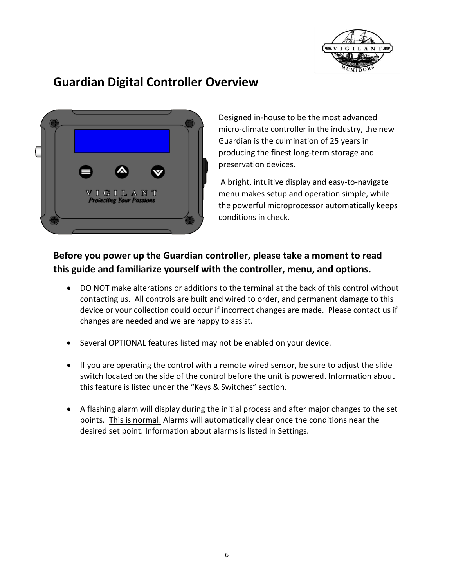

# **Guardian Digital Controller Overview**



Designed in-house to be the most advanced micro-climate controller in the industry, the new Guardian is the culmination of 25 years in producing the finest long-term storage and preservation devices.

A bright, intuitive display and easy-to-navigate menu makes setup and operation simple, while the powerful microprocessor automatically keeps conditions in check.

# **Before you power up the Guardian controller, please take a moment to read this guide and familiarize yourself with the controller, menu, and options.**

- DO NOT make alterations or additions to the terminal at the back of this control without contacting us. All controls are built and wired to order, and permanent damage to this device or your collection could occur if incorrect changes are made. Please contact us if changes are needed and we are happy to assist.
- Several OPTIONAL features listed may not be enabled on your device.
- If you are operating the control with a remote wired sensor, be sure to adjust the slide switch located on the side of the control before the unit is powered. Information about this feature is listed under the "Keys & Switches" section.
- A flashing alarm will display during the initial process and after major changes to the set points. This is normal. Alarms will automatically clear once the conditions near the desired set point. Information about alarms is listed in Settings.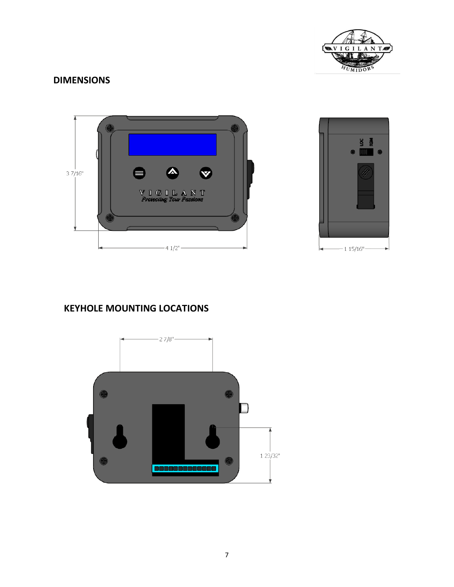

## **DIMENSIONS**





# **KEYHOLE MOUNTING LOCATIONS**

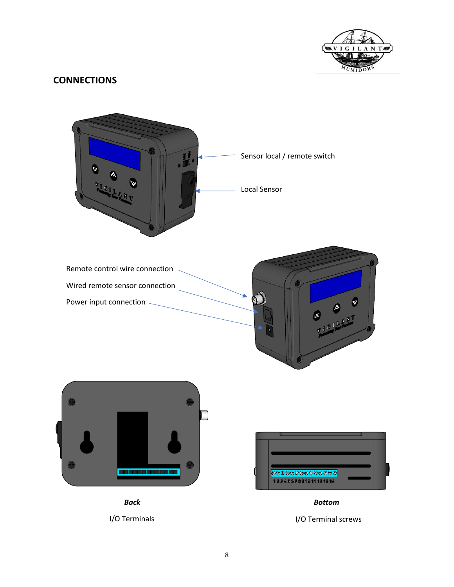

## **CONNECTIONS**

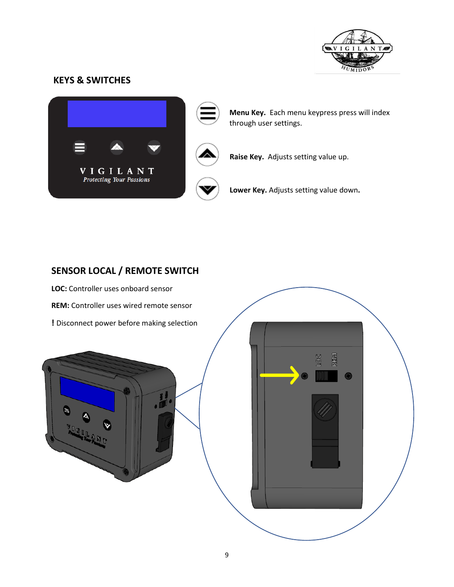

## **KEYS & SWITCHES**



**Menu Key.** Each menu keypress press will index through user settings.



**Raise Key.** Adjusts setting value up.

**Lower Key.** Adjusts setting value down**.**

# **SENSOR LOCAL / REMOTE SWITCH**

**LOC:** Controller uses onboard sensor **REM:** Controller uses wired remote sensor **!** Disconnect power before making selection



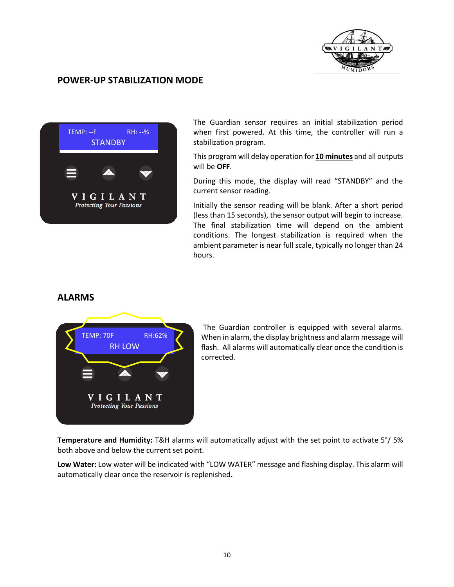

## **POWER-UP STABILIZATION MODE**



The Guardian sensor requires an initial stabilization period when first powered. At this time, the controller will run a stabilization program.

This program will delay operation for **10 minutes** and all outputs will be **OFF**.

During this mode, the display will read "STANDBY" and the current sensor reading.

Initially the sensor reading will be blank. After a short period (less than 15 seconds), the sensor output will begin to increase. The final stabilization time will depend on the ambient conditions. The longest stabilization is required when the ambient parameter is near full scale, typically no longer than 24 hours.

## **ALARMS**



The Guardian controller is equipped with several alarms. When in alarm, the display brightness and alarm message will flash. All alarms will automatically clear once the condition is corrected.

**Temperature and Humidity:** T&H alarms will automatically adjust with the set point to activate 5°/ 5% both above and below the current set point.

**Low Water:** Low water will be indicated with "LOW WATER" message and flashing display. This alarm will automatically clear once the reservoir is replenished**.**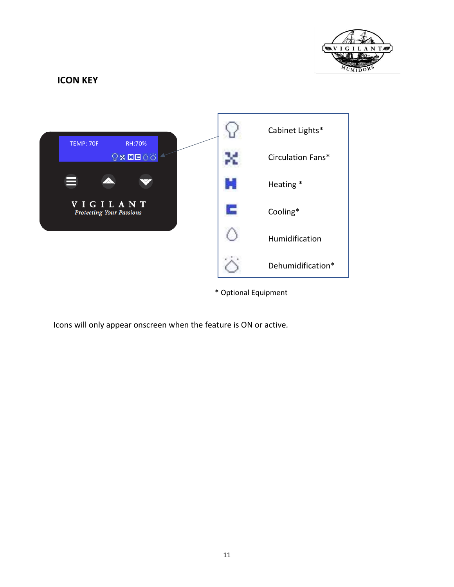

## **ICON KEY**



\* Optional Equipment

Icons will only appear onscreen when the feature is ON or active*.*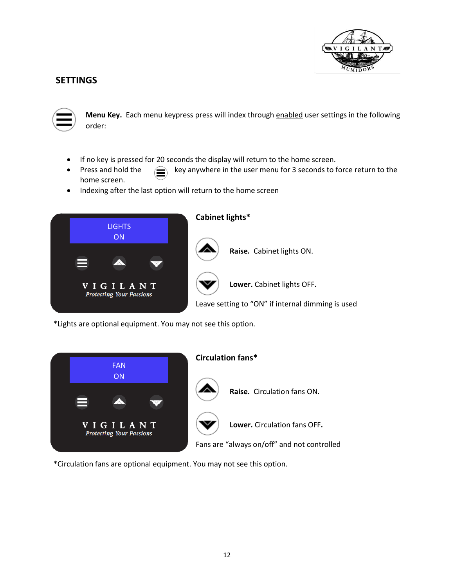

## **SETTINGS**



**Menu Key.** Each menu keypress press will index through enabled user settings in the following order:

- If no key is pressed for 20 seconds the display will return to the home screen.
- Press and hold the  $\left(\bigcirc \right)$  key anywhere in the user menu for 3 seconds to force return to the home screen.
- Indexing after the last option will return to the home screen



\*Lights are optional equipment. You may not see this option.



\*Circulation fans are optional equipment. You may not see this option.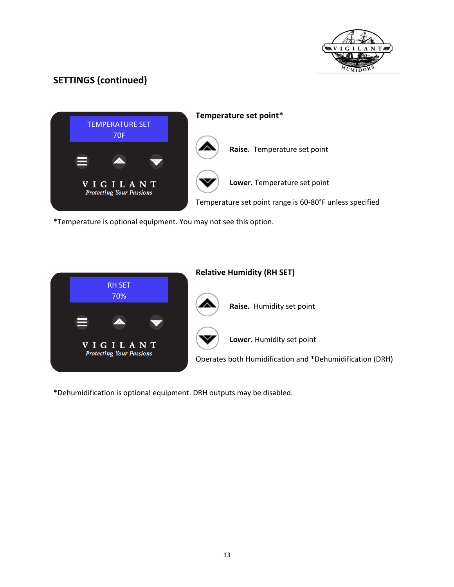



\*Temperature is optional equipment. You may not see this option.



\*Dehumidification is optional equipment. DRH outputs may be disabled.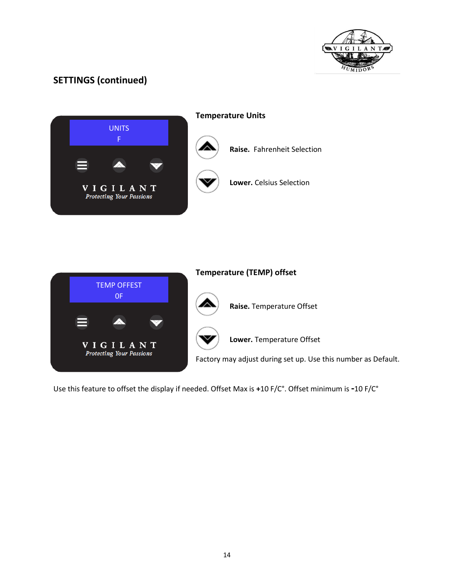





Use this feature to offset the display if needed. Offset Max is **+**10 F/C°. Offset minimum is **-**10 F/C°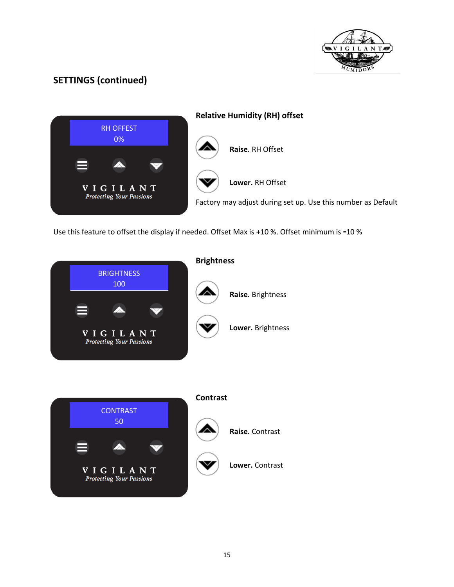



Use this feature to offset the display if needed. Offset Max is **+**10 %. Offset minimum is **-**10 %



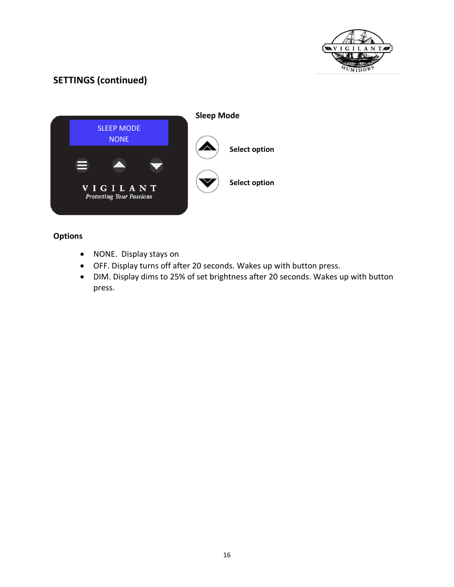



## **Options**

- NONE. Display stays on
- OFF. Display turns off after 20 seconds. Wakes up with button press.
- DIM. Display dims to 25% of set brightness after 20 seconds. Wakes up with button press.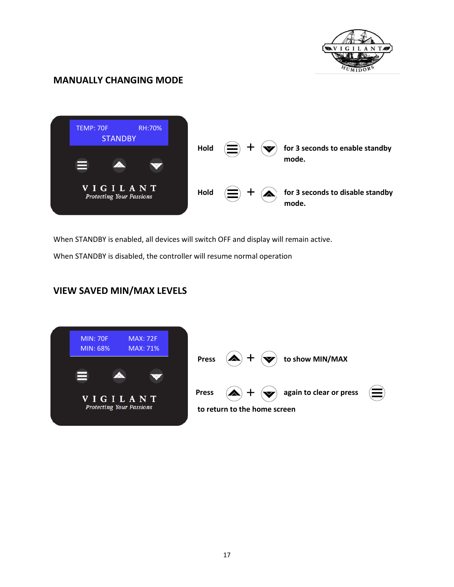

# **MANUALLY CHANGING MODE**



When STANDBY is enabled, all devices will switch OFF and display will remain active.

When STANDBY is disabled, the controller will resume normal operation

# **VIEW SAVED MIN/MAX LEVELS**

| <b>MIN: 70F</b><br>MIN: 68%                        | <b>MAX: 72F</b><br><b>MAX: 71%</b> | <b>Press</b> | $\left( \blacktriangle \right)$                                                                      |  | to show MIN/MAX |
|----------------------------------------------------|------------------------------------|--------------|------------------------------------------------------------------------------------------------------|--|-----------------|
| <b>VIGILANT</b><br><b>Protecting Your Passions</b> |                                    | <b>Press</b> | (a<br>again to clear or press<br>$\left( \blacktriangledown \right)$<br>to return to the home screen |  |                 |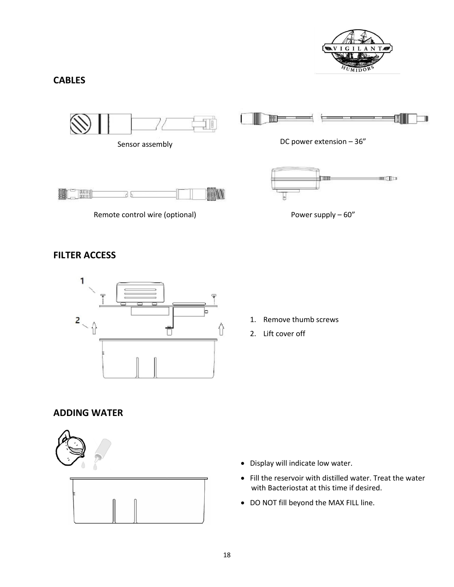

## **CABLES**













# **FILTER ACCESS**



- 1. Remove thumb screws
- 2. Lift cover off

# **ADDING WATER**



- Display will indicate low water.
- Fill the reservoir with distilled water. Treat the water with Bacteriostat at this time if desired.
- DO NOT fill beyond the MAX FILL line.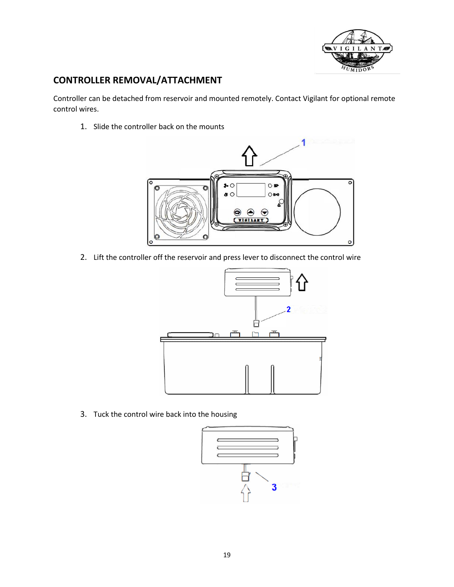

# **CONTROLLER REMOVAL/ATTACHMENT**

Controller can be detached from reservoir and mounted remotely. Contact Vigilant for optional remote control wires.

1. Slide the controller back on the mounts



2. Lift the controller off the reservoir and press lever to disconnect the control wire



3. Tuck the control wire back into the housing

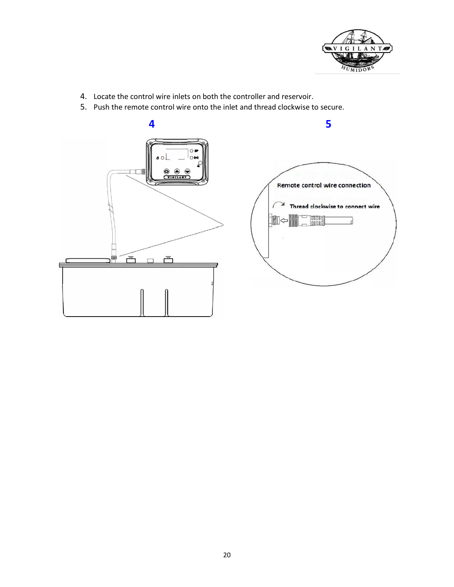

- 4. Locate the control wire inlets on both the controller and reservoir.
- 5. Push the remote control wire onto the inlet and thread clockwise to secure.





**5**